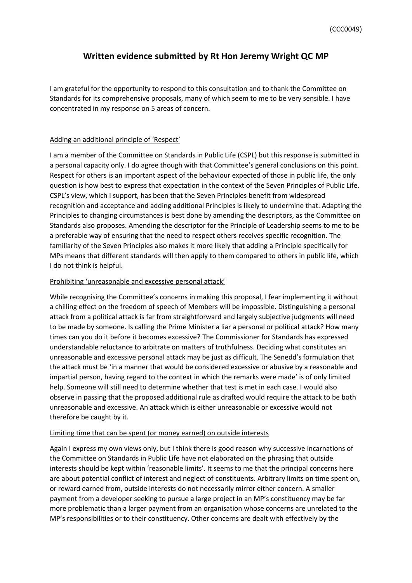# **Written evidence submitted by Rt Hon Jeremy Wright QC MP**

I am grateful for the opportunity to respond to this consultation and to thank the Committee on Standards for its comprehensive proposals, many of which seem to me to be very sensible. I have concentrated in my response on 5 areas of concern.

## Adding an additional principle of 'Respect'

I am a member of the Committee on Standards in Public Life (CSPL) but this response is submitted in a personal capacity only. I do agree though with that Committee's general conclusions on this point. Respect for others is an important aspect of the behaviour expected of those in public life, the only question is how best to express that expectation in the context of the Seven Principles of Public Life. CSPL's view, which I support, has been that the Seven Principles benefit from widespread recognition and acceptance and adding additional Principles is likely to undermine that. Adapting the Principles to changing circumstances is best done by amending the descriptors, as the Committee on Standards also proposes. Amending the descriptor for the Principle of Leadership seems to me to be a preferable way of ensuring that the need to respect others receives specific recognition. The familiarity of the Seven Principles also makes it more likely that adding a Principle specifically for MPs means that different standards will then apply to them compared to others in public life, which I do not think is helpful.

# Prohibiting 'unreasonable and excessive personal attack'

While recognising the Committee's concerns in making this proposal, I fear implementing it without a chilling effect on the freedom of speech of Members will be impossible. Distinguishing a personal attack from a political attack is far from straightforward and largely subjective judgments will need to be made by someone. Is calling the Prime Minister a liar a personal or political attack? How many times can you do it before it becomes excessive? The Commissioner for Standards has expressed understandable reluctance to arbitrate on matters of truthfulness. Deciding what constitutes an unreasonable and excessive personal attack may be just as difficult. The Senedd's formulation that the attack must be 'in a manner that would be considered excessive or abusive by a reasonable and impartial person, having regard to the context in which the remarks were made' is of only limited help. Someone will still need to determine whether that test is met in each case. I would also observe in passing that the proposed additional rule as drafted would require the attack to be both unreasonable and excessive. An attack which is either unreasonable or excessive would not therefore be caught by it.

#### Limiting time that can be spent (or money earned) on outside interests

Again I express my own views only, but I think there is good reason why successive incarnations of the Committee on Standards in Public Life have not elaborated on the phrasing that outside interests should be kept within 'reasonable limits'. It seems to me that the principal concerns here are about potential conflict of interest and neglect of constituents. Arbitrary limits on time spent on, or reward earned from, outside interests do not necessarily mirror either concern. A smaller payment from a developer seeking to pursue a large project in an MP's constituency may be far more problematic than a larger payment from an organisation whose concerns are unrelated to the MP's responsibilities or to their constituency. Other concerns are dealt with effectively by the